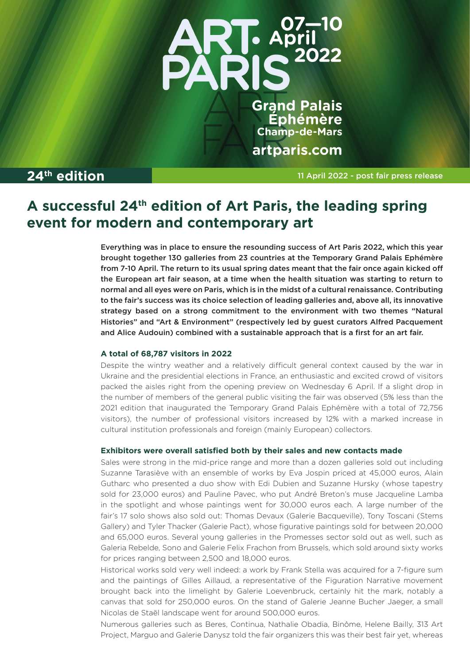

**Grand Palais Éphémère Champ-de-Mars** artparis.com

**24<sup>th</sup> edition 11 April 2022 - post fair press release** 

# **A successful 24th edition of Art Paris, the leading spring event for modern and contemporary art**

Everything was in place to ensure the resounding success of Art Paris 2022, which this year brought together 130 galleries from 23 countries at the Temporary Grand Palais Ephémère from 7-10 April. The return to its usual spring dates meant that the fair once again kicked off the European art fair season, at a time when the health situation was starting to return to normal and all eyes were on Paris, which is in the midst of a cultural renaissance. Contributing to the fair's success was its choice selection of leading galleries and, above all, its innovative strategy based on a strong commitment to the environment with two themes "Natural Histories" and "Art & Environment" (respectively led by guest curators Alfred Pacquement and Alice Audouin) combined with a sustainable approach that is a first for an art fair.

# **A total of 68,787 visitors in 2022**

Despite the wintry weather and a relatively difficult general context caused by the war in Ukraine and the presidential elections in France, an enthusiastic and excited crowd of visitors packed the aisles right from the opening preview on Wednesday 6 April. If a slight drop in the number of members of the general public visiting the fair was observed (5% less than the 2021 edition that inaugurated the Temporary Grand Palais Ephémère with a total of 72,756 visitors), the number of professional visitors increased by 12% with a marked increase in cultural institution professionals and foreign (mainly European) collectors.

## **Exhibitors were overall satisfied both by their sales and new contacts made**

Sales were strong in the mid-price range and more than a dozen galleries sold out including Suzanne Tarasiève with an ensemble of works by Eva Jospin priced at 45,000 euros, Alain Gutharc who presented a duo show with Edi Dubien and Suzanne Hursky (whose tapestry sold for 23,000 euros) and Pauline Pavec, who put André Breton's muse Jacqueline Lamba in the spotlight and whose paintings went for 30,000 euros each. A large number of the fair's 17 solo shows also sold out: Thomas Devaux (Galerie Bacqueville), Tony Toscani (Stems Gallery) and Tyler Thacker (Galerie Pact), whose figurative paintings sold for between 20,000 and 65,000 euros. Several young galleries in the Promesses sector sold out as well, such as Galeria Rebelde, Sono and Galerie Felix Frachon from Brussels, which sold around sixty works for prices ranging between 2,500 and 18,000 euros.

Historical works sold very well indeed: a work by Frank Stella was acquired for a 7-figure sum and the paintings of Gilles Aillaud, a representative of the Figuration Narrative movement brought back into the limelight by Galerie Loevenbruck, certainly hit the mark, notably a canvas that sold for 250,000 euros. On the stand of Galerie Jeanne Bucher Jaeger, a small Nicolas de Staël landscape went for around 500,000 euros.

Numerous galleries such as Beres, Continua, Nathalie Obadia, Binôme, Helene Bailly, 313 Art Project, Marguo and Galerie Danysz told the fair organizers this was their best fair yet, whereas